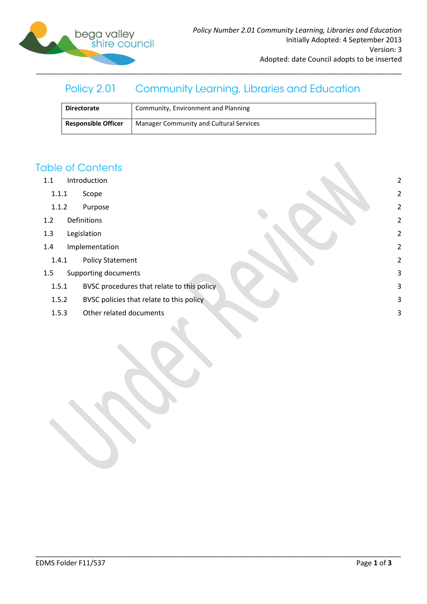

#### **Community Learning, Libraries and Education** Policy 2.01

| <b>Directorate</b>         | Community, Environment and Planning     |
|----------------------------|-----------------------------------------|
| <b>Responsible Officer</b> | Manager Community and Cultural Services |

\_\_\_\_\_\_\_\_\_\_\_\_\_\_\_\_\_\_\_\_\_\_\_\_\_\_\_\_\_\_\_\_\_\_\_\_\_\_\_\_\_\_\_\_\_\_\_\_\_\_\_\_\_\_\_\_\_\_\_\_\_\_\_\_\_\_\_\_\_\_\_\_\_\_\_\_\_\_\_\_\_\_\_\_\_\_\_\_\_\_\_\_\_

# **Table of Contents**

- 1.1 [Introduction](#page-1-0) 2
	- 1.1.1 [Scope](#page-1-1) 2
	- 1.1.2 [Purpose](#page-1-2) 2
- 1.2 [Definitions](#page-1-3) 2
- 1.3 [Legislation](#page-1-4) 2
- 1.4 [Implementation](#page-1-5) 2
	- 1.4.1 [Policy Statement](#page-1-6) 2
- 1.5 [Supporting documents](#page-2-0) 3
	- 1.5.1 [BVSC procedures that relate to this policy](#page-2-1) 3
	- 1.5.2 [BVSC policies that relate to this policy](#page-2-2) and the set of the set of the set of the set of the set of the set of the set of the set of the set of the set of the set of the set of the set of the set of the set of the se
	- 1.5.3 [Other related documents](#page-2-3) 3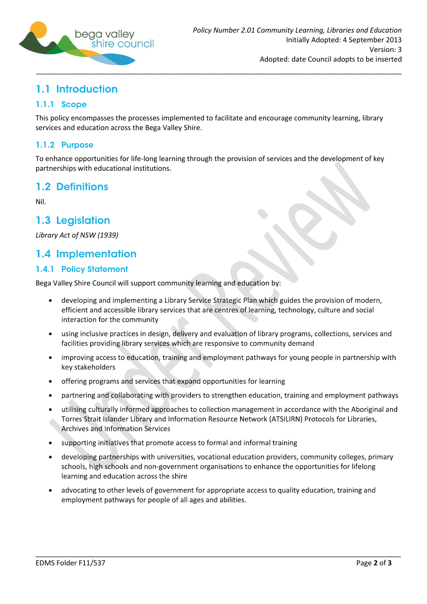

# <span id="page-1-0"></span>1.1 Introduction

### <span id="page-1-1"></span>1.1.1 Scope

This policy encompasses the processes implemented to facilitate and encourage community learning, library services and education across the Bega Valley Shire.

### <span id="page-1-2"></span>1.1.2 Purpose

To enhance opportunities for life-long learning through the provision of services and the development of key partnerships with educational institutions.

# <span id="page-1-3"></span>1.2 Definitions

Nil.

# <span id="page-1-4"></span>1.3 Legislation

*Library Act of NSW (1939)*

# <span id="page-1-5"></span>1.4 Implementation

#### <span id="page-1-6"></span>**1.4.1 Policy Statement**

Bega Valley Shire Council will support community learning and education by:

- developing and implementing a Library Service Strategic Plan which guides the provision of modern, efficient and accessible library services that are centres of learning, technology, culture and social interaction for the community
- using inclusive practices in design, delivery and evaluation of library programs, collections, services and  $\bullet$ facilities providing library services which are responsive to community demand
- improving access to education, training and employment pathways for young people in partnership with  $\bullet$ key stakeholders
- offering programs and services that expand opportunities for learning
- partnering and collaborating with providers to strengthen education, training and employment pathways
- utilising culturally informed approaches to collection management in accordance with the Aboriginal and Torres Strait Islander Library and Information Resource Network (ATSILIRN) Protocols for Libraries, **Archives and Information Services**
- supporting initiatives that promote access to formal and informal training
- developing partnerships with universities, vocational education providers, community colleges, primary schools, high schools and non-government organisations to enhance the opportunities for lifelong learning and education across the shire
- advocating to other levels of government for appropriate access to quality education, training and employment pathways for people of all ages and abilities.

\_\_\_\_\_\_\_\_\_\_\_\_\_\_\_\_\_\_\_\_\_\_\_\_\_\_\_\_\_\_\_\_\_\_\_\_\_\_\_\_\_\_\_\_\_\_\_\_\_\_\_\_\_\_\_\_\_\_\_\_\_\_\_\_\_\_\_\_\_\_\_\_\_\_\_\_\_\_\_\_\_\_\_\_\_\_\_\_\_\_\_\_\_